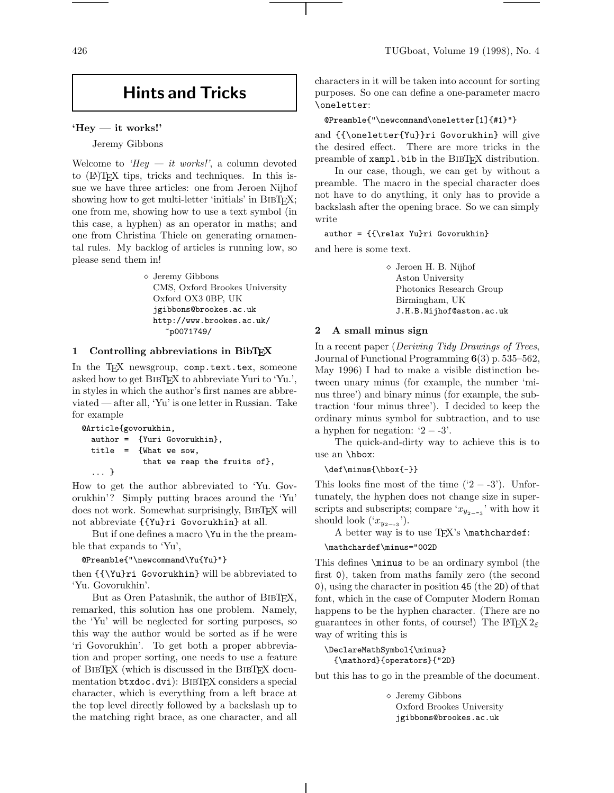# **Hints and Tricks**

### **'Hey — it works!'**

Jeremy Gibbons

Welcome to 'Hey  $-$  it works!', a column devoted to (LA)TEX tips, tricks and techniques. In this issue we have three articles: one from Jeroen Nijhof showing how to get multi-letter 'initials' in BIBTFX; one from me, showing how to use a text symbol (in this case, a hyphen) as an operator in maths; and one from Christina Thiele on generating ornamental rules. My backlog of articles is running low, so please send them in!

> Jeremy Gibbons CMS, Oxford Brookes University Oxford OX3 0BP, UK jgibbons@brookes.ac.uk http://www.brookes.ac.uk/ ~p0071749/

# **1 Controlling abbreviations in BibTEX**

In the TFX newsgroup, comp.text.tex, someone asked how to get BIBTEX to abbreviate Yuri to 'Yu.', in styles in which the author's first names are abbreviated — after all, 'Yu' is one letter in Russian. Take for example

```
@Article{govorukhin,
 author = {Yuri Govorukhin},
 title = {What we sow,
             that we reap the fruits of},
  ... }
```
How to get the author abbreviated to 'Yu. Govorukhin'? Simply putting braces around the 'Yu' does not work. Somewhat surprisingly, BibTEX will not abbreviate {{Yu}ri Govorukhin} at all.

But if one defines a macro \Yu in the the preamble that expands to 'Yu',

@Preamble{"\newcommand\Yu{Yu}"}

then {{\Yu}ri Govorukhin} will be abbreviated to 'Yu. Govorukhin'.

But as Oren Patashnik, the author of BIBT<sub>EX</sub>, remarked, this solution has one problem. Namely, the 'Yu' will be neglected for sorting purposes, so this way the author would be sorted as if he were 'ri Govorukhin'. To get both a proper abbreviation and proper sorting, one needs to use a feature of BibTEX (which is discussed in the BibTEX documentation btxdoc.dvi): BIBTFX considers a special character, which is everything from a left brace at the top level directly followed by a backslash up to the matching right brace, as one character, and all characters in it will be taken into account for sorting purposes. So one can define a one-parameter macro \oneletter:

```
@Preamble{"\newcommand\oneletter[1]{#1}"}
```
and {{\oneletter{Yu}}ri Govorukhin} will give the desired effect. There are more tricks in the preamble of xampl.bib in the BIBTEX distribution.

In our case, though, we can get by without a preamble. The macro in the special character does not have to do anything, it only has to provide a backslash after the opening brace. So we can simply write

#### author = {{\relax Yu}ri Govorukhin}

and here is some text.

 Jeroen H. B. Nijhof Aston University Photonics Research Group Birmingham, UK J.H.B.Nijhof@aston.ac.uk

# **2 A small minus sign**

In a recent paper (Deriving Tidy Drawings of Trees, Journal of Functional Programming **6**(3) p. 535–562, May 1996) I had to make a visible distinction between unary minus (for example, the number 'minus three') and binary minus (for example, the subtraction 'four minus three'). I decided to keep the ordinary minus symbol for subtraction, and to use a hyphen for negation:  $2 - 3$ .

The quick-and-dirty way to achieve this is to use an \hbox:

\def\minus{\hbox{-}}

This looks fine most of the time  $('2 - -3')$ . Unfortunately, the hyphen does not change size in superscripts and subscripts; compare ' $x_{y_{2-3}}$ ' with how it should look  $('x_{y_{2--3}}').$ 

A better way is to use TFX's \mathchardef:

# \mathchardef\minus="002D

This defines \minus to be an ordinary symbol (the first 0), taken from maths family zero (the second 0), using the character in position 45 (the 2D) of that font, which in the case of Computer Modern Roman happens to be the hyphen character. (There are no guarantees in other fonts, of course!) The L<sup>AT</sup>EX  $2\varepsilon$ way of writing this is

```
\DeclareMathSymbol{\minus}
 {\mathord}{operators}{"2D}
```
but this has to go in the preamble of the document.

 Jeremy Gibbons Oxford Brookes University jgibbons@brookes.ac.uk